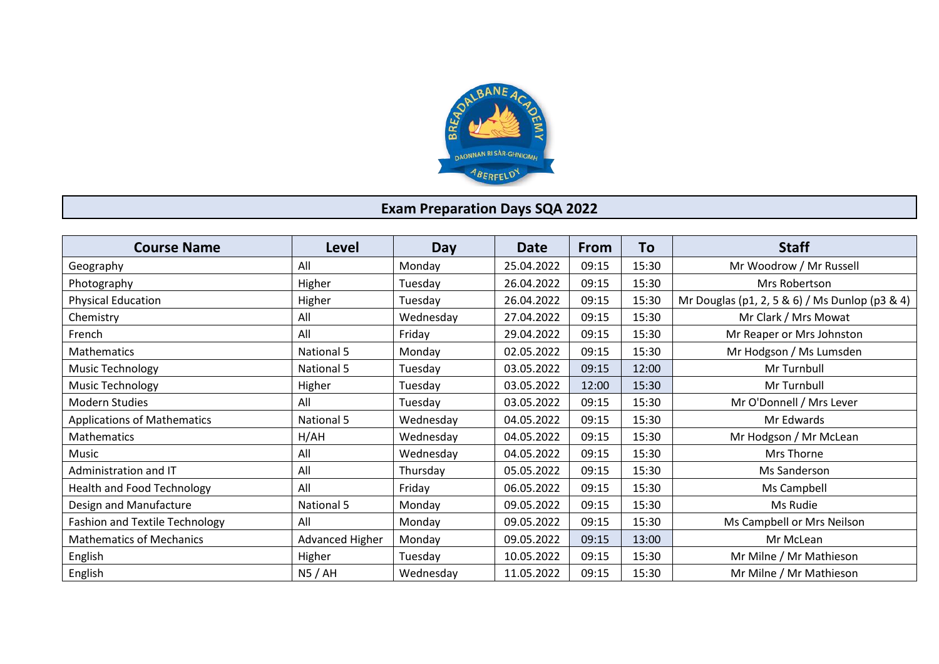

## **Exam Preparation Days SQA 2022**

| <b>Course Name</b>                    | Level             | Day       | <b>Date</b> | <b>From</b> | To    | <b>Staff</b>                                   |
|---------------------------------------|-------------------|-----------|-------------|-------------|-------|------------------------------------------------|
| Geography                             | All               | Monday    | 25.04.2022  | 09:15       | 15:30 | Mr Woodrow / Mr Russell                        |
| Photography                           | Higher            | Tuesday   | 26.04.2022  | 09:15       | 15:30 | Mrs Robertson                                  |
| <b>Physical Education</b>             | Higher            | Tuesday   | 26.04.2022  | 09:15       | 15:30 | Mr Douglas (p1, 2, 5 & 6) / Ms Dunlop (p3 & 4) |
| Chemistry                             | All               | Wednesday | 27.04.2022  | 09:15       | 15:30 | Mr Clark / Mrs Mowat                           |
| French                                | All               | Friday    | 29.04.2022  | 09:15       | 15:30 | Mr Reaper or Mrs Johnston                      |
| Mathematics                           | National 5        | Monday    | 02.05.2022  | 09:15       | 15:30 | Mr Hodgson / Ms Lumsden                        |
| Music Technology                      | National 5        | Tuesday   | 03.05.2022  | 09:15       | 12:00 | Mr Turnbull                                    |
| <b>Music Technology</b>               | Higher            | Tuesday   | 03.05.2022  | 12:00       | 15:30 | Mr Turnbull                                    |
| <b>Modern Studies</b>                 | All               | Tuesday   | 03.05.2022  | 09:15       | 15:30 | Mr O'Donnell / Mrs Lever                       |
| <b>Applications of Mathematics</b>    | <b>National 5</b> | Wednesday | 04.05.2022  | 09:15       | 15:30 | Mr Edwards                                     |
| <b>Mathematics</b>                    | H/AH              | Wednesday | 04.05.2022  | 09:15       | 15:30 | Mr Hodgson / Mr McLean                         |
| Music                                 | All               | Wednesday | 04.05.2022  | 09:15       | 15:30 | Mrs Thorne                                     |
| Administration and IT                 | All               | Thursday  | 05.05.2022  | 09:15       | 15:30 | Ms Sanderson                                   |
| <b>Health and Food Technology</b>     | All               | Friday    | 06.05.2022  | 09:15       | 15:30 | Ms Campbell                                    |
| Design and Manufacture                | National 5        | Monday    | 09.05.2022  | 09:15       | 15:30 | Ms Rudie                                       |
| <b>Fashion and Textile Technology</b> | All               | Monday    | 09.05.2022  | 09:15       | 15:30 | Ms Campbell or Mrs Neilson                     |
| <b>Mathematics of Mechanics</b>       | Advanced Higher   | Monday    | 09.05.2022  | 09:15       | 13:00 | Mr McLean                                      |
| English                               | Higher            | Tuesday   | 10.05.2022  | 09:15       | 15:30 | Mr Milne / Mr Mathieson                        |
| English                               | N5/AH             | Wednesday | 11.05.2022  | 09:15       | 15:30 | Mr Milne / Mr Mathieson                        |